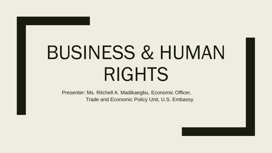# BUSINESS & HUMAN RIGHTS

Presenter: Ms. Ritchell A. Madikaegbu, Economic Officer, Trade and Economic Policy Unit, U.S. Embassy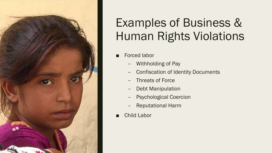

## Examples of Business & Human Rights Violations

- Forced labor
	- Withholding of Pay
	- Confiscation of Identity Documents
	- Threats of Force
	- Debt Manipulation
	- Psychological Coercion
	- Reputational Harm
- **Child Labor**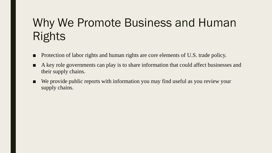## Why We Promote Business and Human Rights

- Protection of labor rights and human rights are core elements of U.S. trade policy.
- A key role governments can play is to share information that could affect businesses and their supply chains.
- We provide public reports with information you may find useful as you review your supply chains.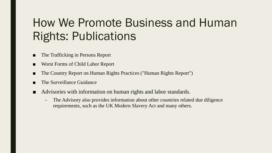## How We Promote Business and Human Rights: Publications

- The Trafficking in Persons Report
- Worst Forms of Child Labor Report
- The Country Report on Human Rights Practices ("Human Rights Report")
- The Surveillance Guidance
- Advisories with information on human rights and labor standards.
	- The Advisory also provides information about other countries related due diligence requirements, such as the UK Modern Slavery Act and many others.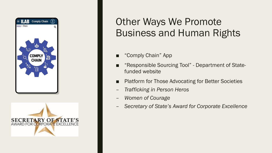



#### Other Ways We Promote Business and Human Rights

- "Comply Chain" App
- "Responsible Sourcing Tool" Department of Statefunded website
- **Platform for Those Advocating for Better Societies**
- *Trafficking in Person Heros*
- *Women of Courage*
- *Secretary of State's Award for Corporate Excellence*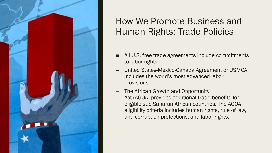

#### How We Promote Business and Human Rights: Trade Policies

- All U.S. free trade agreements include commitments to labor rights.
- United States-Mexico-Canada Agreement or USMCA, includes the world's most advanced labor provisions.
- The African Growth and Opportunity Act (AGOA) provides additional trade benefits for eligible sub-Saharan African countries. The AGOA eligibility criteria includes human rights, rule of law, anti-corruption protections, and labor rights.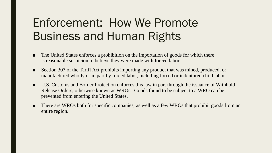## Enforcement: How We Promote Business and Human Rights

- The United States enforces a prohibition on the importation of goods for which there is reasonable suspicion to believe they were made with forced labor.
- Section 307 of the Tariff Act prohibits importing any product that was mined, produced, or manufactured wholly or in part by forced labor, including forced or indentured child labor.
- U.S. Customs and Border Protection enforces this law in part through the issuance of Withhold Release Orders, otherwise known as WROs. Goods found to be subject to a WRO can be prevented from entering the United States.
- There are WROs both for specific companies, as well as a few WROs that prohibit goods from an entire region.